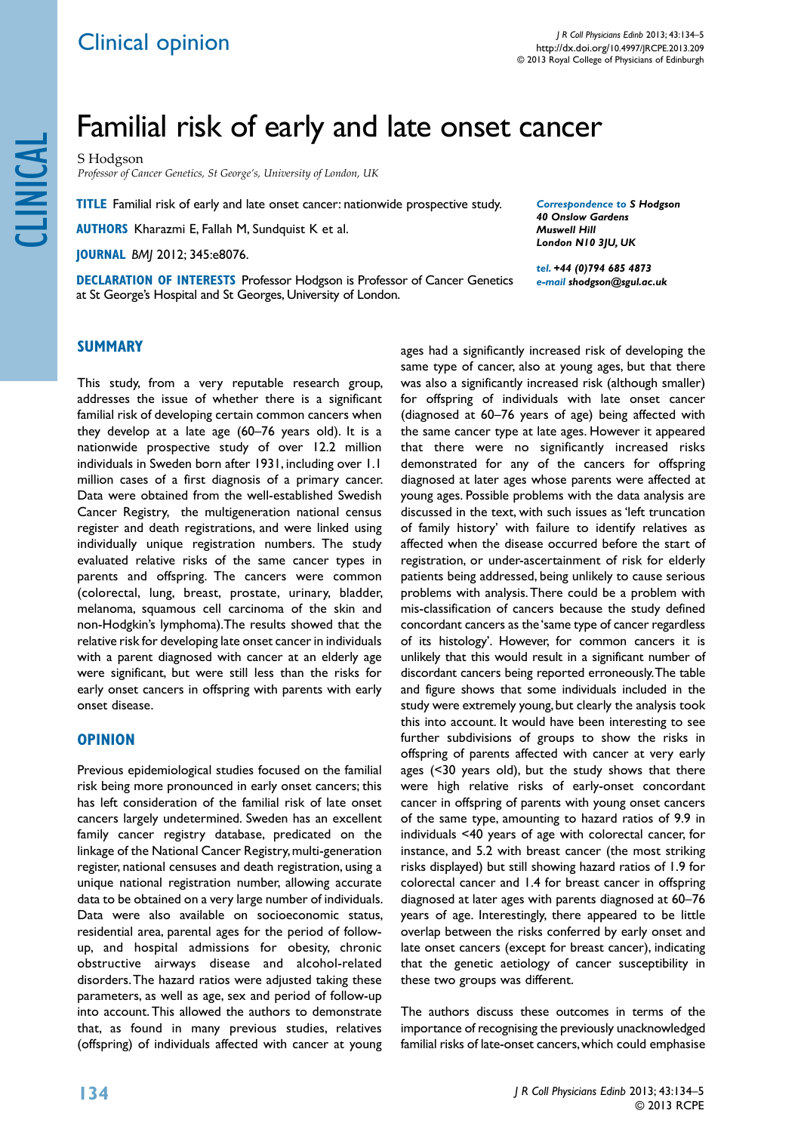*Correspondence to S Hodgson*

*40 Onslow Gardens Muswell Hill London N10 3JU, UK tel. +44 (0)794 685 4873 e-mail shodgson@sgul.ac.uk*

## Familial risk of early and late onset cancer

S Hodgson

*Professor of Cancer Genetics, St George's, University of London, UK*

**Title** Familial risk of early and late onset cancer: nationwide prospective study.

**Authors** Kharazmi E, Fallah M, Sundquist K et al.

**Journal** *BMJ* 2012; 345:e8076.

**Declaration of Interests** Professor Hodgson is Professor of Cancer Genetics at St George's Hospital and St Georges, University of London.

## **Summary**

This study, from a very reputable research group, addresses the issue of whether there is a significant familial risk of developing certain common cancers when they develop at a late age (60–76 years old). It is a nationwide prospective study of over 12.2 million individuals in Sweden born after 1931, including over 1.1 million cases of a first diagnosis of a primary cancer. Data were obtained from the well-established Swedish Cancer Registry, the multigeneration national census register and death registrations, and were linked using individually unique registration numbers. The study evaluated relative risks of the same cancer types in parents and offspring. The cancers were common (colorectal, lung, breast, prostate, urinary, bladder, melanoma, squamous cell carcinoma of the skin and non-Hodgkin's lymphoma).The results showed that the relative risk for developing late onset cancer in individuals with a parent diagnosed with cancer at an elderly age were significant, but were still less than the risks for early onset cancers in offspring with parents with early onset disease.

## **Opinion**

**134**

Previous epidemiological studies focused on the familial risk being more pronounced in early onset cancers; this has left consideration of the familial risk of late onset cancers largely undetermined. Sweden has an excellent family cancer registry database, predicated on the linkage of the National Cancer Registry, multi-generation register, national censuses and death registration, using a unique national registration number, allowing accurate data to be obtained on a very large number of individuals. Data were also available on socioeconomic status, residential area, parental ages for the period of followup, and hospital admissions for obesity, chronic obstructive airways disease and alcohol-related disorders. The hazard ratios were adjusted taking these parameters, as well as age, sex and period of follow-up into account. This allowed the authors to demonstrate that, as found in many previous studies, relatives (offspring) of individuals affected with cancer at young ages had a significantly increased risk of developing the same type of cancer, also at young ages, but that there was also a significantly increased risk (although smaller) for offspring of individuals with late onset cancer (diagnosed at 60–76 years of age) being affected with the same cancer type at late ages. However it appeared that there were no significantly increased risks demonstrated for any of the cancers for offspring diagnosed at later ages whose parents were affected at young ages. Possible problems with the data analysis are discussed in the text, with such issues as 'left truncation of family history' with failure to identify relatives as affected when the disease occurred before the start of registration, or under-ascertainment of risk for elderly patients being addressed, being unlikely to cause serious problems with analysis. There could be a problem with mis-classification of cancers because the study defined concordant cancers as the 'same type of cancer regardless of its histology'. However, for common cancers it is unlikely that this would result in a significant number of discordant cancers being reported erroneously. The table and figure shows that some individuals included in the study were extremely young, but clearly the analysis took this into account. It would have been interesting to see further subdivisions of groups to show the risks in offspring of parents affected with cancer at very early ages (<30 years old), but the study shows that there were high relative risks of early-onset concordant cancer in offspring of parents with young onset cancers of the same type, amounting to hazard ratios of 9.9 in individuals <40 years of age with colorectal cancer, for instance, and 5.2 with breast cancer (the most striking risks displayed) but still showing hazard ratios of 1.9 for colorectal cancer and 1.4 for breast cancer in offspring diagnosed at later ages with parents diagnosed at 60–76 years of age. Interestingly, there appeared to be little overlap between the risks conferred by early onset and late onset cancers (except for breast cancer), indicating that the genetic aetiology of cancer susceptibility in these two groups was different.

The authors discuss these outcomes in terms of the importance of recognising the previously unacknowledged familial risks of late-onset cancers, which could emphasise